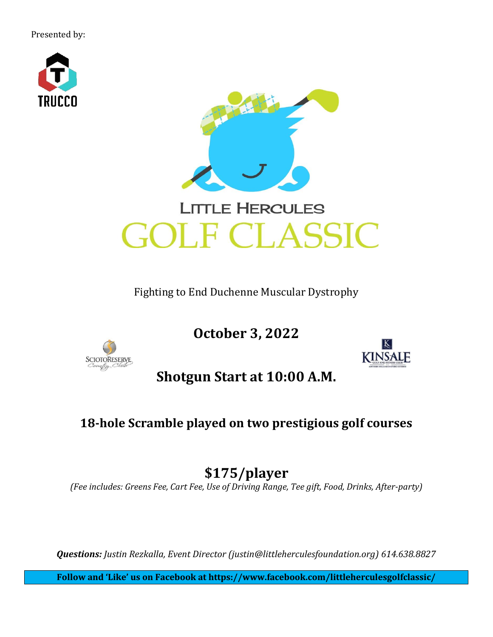Presented by:

**SCIOTORESERVE** 



Fighting to End Duchenne Muscular Dystrophy

**October 3, 2022**



**Shotgun Start at 10:00 A.M.**

## **18-hole Scramble played on two prestigious golf courses**

# **\$175/player**

*(Fee includes: Greens Fee, Cart Fee, Use of Driving Range, Tee gift, Food, Drinks, After-party)*

*Questions: Justin Rezkalla, Event Director (justin@littleherculesfoundation.org) 614.638.8827*

**Follow and 'Like' us on Facebook at https://www.facebook.com/littleherculesgolfclassic/**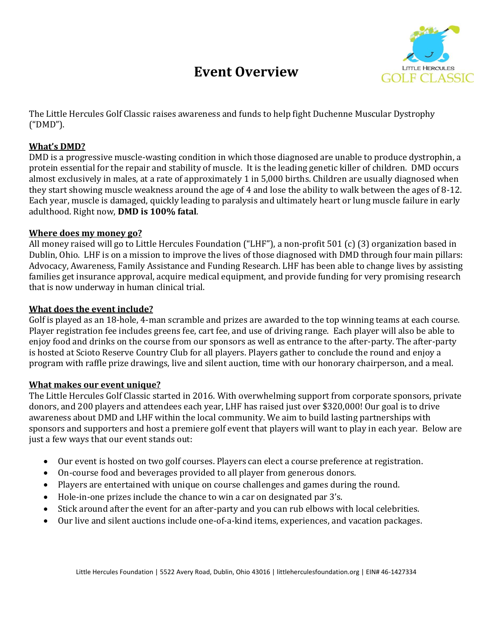## **Event Overview**



The Little Hercules Golf Classic raises awareness and funds to help fight Duchenne Muscular Dystrophy ("DMD").

#### **What's DMD?**

DMD is a progressive muscle-wasting condition in which those diagnosed are unable to produce dystrophin, a protein essential for the repair and stability of muscle. It is the leading genetic killer of children. DMD occurs almost exclusively in males, at a rate of approximately 1 in 5,000 births. Children are usually diagnosed when they start showing muscle weakness around the age of 4 and lose the ability to walk between the ages of 8-12. Each year, muscle is damaged, quickly leading to paralysis and ultimately heart or lung muscle failure in early adulthood. Right now, **DMD is 100% fatal**.

#### **Where does my money go?**

All money raised will go to Little Hercules Foundation ("LHF"), a non-profit 501 (c) (3) organization based in Dublin, Ohio. LHF is on a mission to improve the lives of those diagnosed with DMD through four main pillars: Advocacy, Awareness, Family Assistance and Funding Research. LHF has been able to change lives by assisting families get insurance approval, acquire medical equipment, and provide funding for very promising research that is now underway in human clinical trial.

#### **What does the event include?**

Golf is played as an 18-hole, 4-man scramble and prizes are awarded to the top winning teams at each course. Player registration fee includes greens fee, cart fee, and use of driving range. Each player will also be able to enjoy food and drinks on the course from our sponsors as well as entrance to the after-party. The after-party is hosted at Scioto Reserve Country Club for all players. Players gather to conclude the round and enjoy a program with raffle prize drawings, live and silent auction, time with our honorary chairperson, and a meal.

#### **What makes our event unique?**

The Little Hercules Golf Classic started in 2016. With overwhelming support from corporate sponsors, private donors, and 200 players and attendees each year, LHF has raised just over \$320,000! Our goal is to drive awareness about DMD and LHF within the local community. We aim to build lasting partnerships with sponsors and supporters and host a premiere golf event that players will want to play in each year. Below are just a few ways that our event stands out:

- Our event is hosted on two golf courses. Players can elect a course preference at registration.
- On-course food and beverages provided to all player from generous donors.
- Players are entertained with unique on course challenges and games during the round.
- Hole-in-one prizes include the chance to win a car on designated par 3's.
- Stick around after the event for an after-party and you can rub elbows with local celebrities.
- Our live and silent auctions include one-of-a-kind items, experiences, and vacation packages.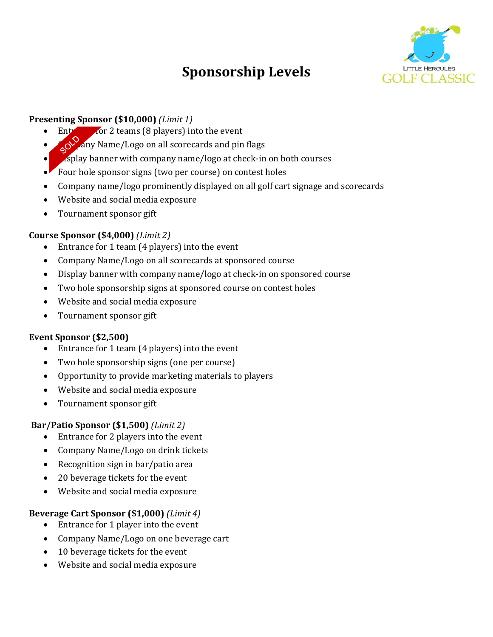# **Sponsorship Levels**



#### **Presenting Sponsor (\$10,000)** *(Limit 1)*

- $\frac{1}{2}$  Fig. 2 teams (8 players) into the event
- $\sim$  any Name/Logo on all scorecards and pin flags
- $\mu$ splay banner with company name/logo at check-in on both courses
- Four hole sponsor signs (two per course) on contest holes
- Company name/logo prominently displayed on all golf cart signage and scorecards
- Website and social media exposure
- Tournament sponsor gift

### **Course Sponsor (\$4,000)** *(Limit 2)*

- Entrance for 1 team (4 players) into the event
- Company Name/Logo on all scorecards at sponsored course
- Display banner with company name/logo at check-in on sponsored course
- Two hole sponsorship signs at sponsored course on contest holes
- Website and social media exposure
- Tournament sponsor gift

#### **Event Sponsor (\$2,500)**

- Entrance for 1 team (4 players) into the event
- Two hole sponsorship signs (one per course)
- Opportunity to provide marketing materials to players
- Website and social media exposure
- Tournament sponsor gift

#### **Bar/Patio Sponsor (\$1,500)** *(Limit 2)*

- Entrance for 2 players into the event
- Company Name/Logo on drink tickets
- Recognition sign in bar/patio area
- 20 beverage tickets for the event
- Website and social media exposure

#### **Beverage Cart Sponsor (\$1,000)** *(Limit 4)*

- Entrance for 1 player into the event
- Company Name/Logo on one beverage cart
- 10 beverage tickets for the event
- Website and social media exposure